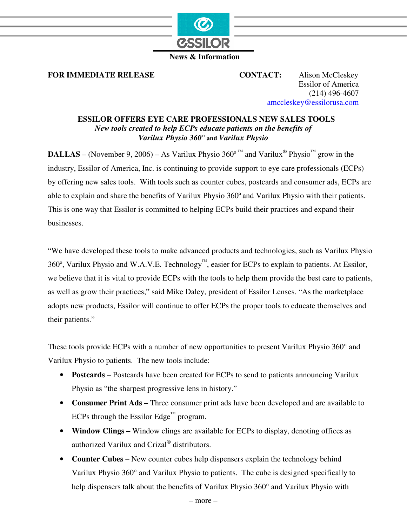

## **News & Information**

**FOR IMMEDIATE RELEASE CONTACT:** Alison McCleskey

Essilor of America (214) 496-4607 amccleskey@essilorusa.com

## **ESSILOR OFFERS EYE CARE PROFESSIONALS NEW SALES TOOLS**  *New tools created to help ECPs educate patients on the benefits of Varilux Physio 360°* **and** *Varilux Physio*

**DALLAS** – (November 9, 2006) – As Varilux Physio  $360^{\circ}$ <sup>TM</sup> and Varilux<sup>®</sup> Physio<sup>™</sup> grow in the industry, Essilor of America, Inc. is continuing to provide support to eye care professionals (ECPs) by offering new sales tools. With tools such as counter cubes, postcards and consumer ads, ECPs are able to explain and share the benefits of Varilux Physio 360º and Varilux Physio with their patients. This is one way that Essilor is committed to helping ECPs build their practices and expand their businesses.

"We have developed these tools to make advanced products and technologies, such as Varilux Physio 360º, Varilux Physio and W.A.V.E. Technology™, easier for ECPs to explain to patients. At Essilor, we believe that it is vital to provide ECPs with the tools to help them provide the best care to patients, as well as grow their practices," said Mike Daley, president of Essilor Lenses. "As the marketplace adopts new products, Essilor will continue to offer ECPs the proper tools to educate themselves and their patients."

These tools provide ECPs with a number of new opportunities to present Varilux Physio 360° and Varilux Physio to patients. The new tools include:

- **Postcards** Postcards have been created for ECPs to send to patients announcing Varilux Physio as "the sharpest progressive lens in history."
- **Consumer Print Ads –** Three consumer print ads have been developed and are available to ECPs through the Essilor Edge<sup>™</sup> program.
- **Window Clings** Window clings are available for ECPs to display, denoting offices as authorized Varilux and Crizal® distributors.
- **Counter Cubes** New counter cubes help dispensers explain the technology behind Varilux Physio 360° and Varilux Physio to patients. The cube is designed specifically to help dispensers talk about the benefits of Varilux Physio 360° and Varilux Physio with